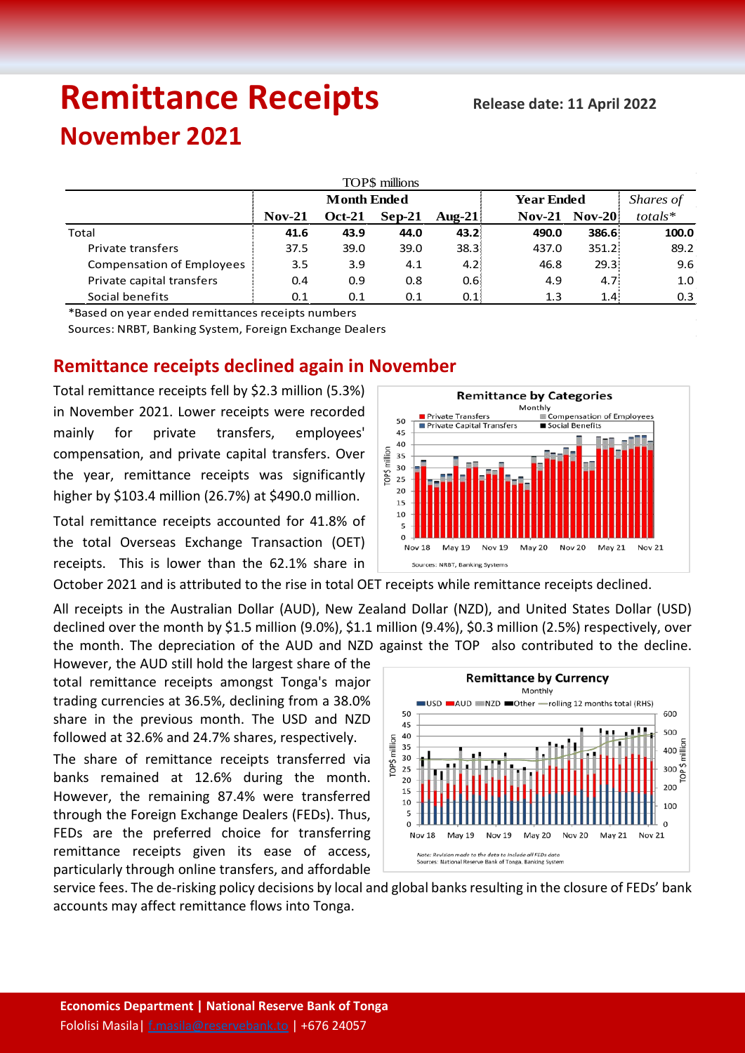# **Remittance Receipts** Release date: 11 April 2022 **November 2021**

| TOP\$ millions                   |                    |               |          |                   |                   |                   |                  |  |  |  |  |  |
|----------------------------------|--------------------|---------------|----------|-------------------|-------------------|-------------------|------------------|--|--|--|--|--|
|                                  | <b>Month Ended</b> |               |          |                   | <b>Year Ended</b> |                   | Shares of        |  |  |  |  |  |
|                                  | $Nov-21$           | <b>Oct-21</b> | $Sep-21$ | Aug-21            | $Nov-21$          | $Nov-20$          | $totals*$        |  |  |  |  |  |
| Total                            | 41.6               | 43.9          | 44.0     | 43.2 <sub>1</sub> | 490.0             | 386.6             | 100.0            |  |  |  |  |  |
| Private transfers                | 37.5               | 39.0          | 39.0     | 38.31             | 437.0             | $351.2^{\circ}$   | 89.2             |  |  |  |  |  |
| <b>Compensation of Employees</b> | 3.5                | 3.9           | 4.1      | 4.21              | 46.8              | 29.3 <sup>1</sup> | 9.6              |  |  |  |  |  |
| Private capital transfers        | 0.4                | 0.9           | 0.8      | 0.61              | 4.9               | 4.7 <sup>1</sup>  | 1.0              |  |  |  |  |  |
| Social benefits                  | 0.1                | 0.1           | 0.1      | 0.1               | 1.3               | 1.4 <sup>1</sup>  | 0.3 <sub>2</sub> |  |  |  |  |  |

\*Based on year ended remittances receipts numbers

Sources: NRBT, Banking System, Foreign Exchange Dealers

# **Remittance receipts declined again in November**

Total remittance receipts fell by \$2.3 million (5.3%) in November 2021. Lower receipts were recorded mainly for private transfers, employees' compensation, and private capital transfers. Over the year, remittance receipts was significantly higher by \$103.4 million (26.7%) at \$490.0 million.

Total remittance receipts accounted for 41.8% of the total Overseas Exchange Transaction (OET) receipts. This is lower than the 62.1% share in

October 2021 and is attributed to the rise in total OET receipts while remittance receipts declined.

All receipts in the Australian Dollar (AUD), New Zealand Dollar (NZD), and United States Dollar (USD) declined over the month by \$1.5 million (9.0%), \$1.1 million (9.4%), \$0.3 million (2.5%) respectively, over the month. The depreciation of the AUD and NZD against the TOP also contributed to the decline.

However, the AUD still hold the largest share of the total remittance receipts amongst Tonga's major trading currencies at 36.5%, declining from a 38.0% share in the previous month. The USD and NZD followed at 32.6% and 24.7% shares, respectively.

The share of remittance receipts transferred via banks remained at 12.6% during the month. However, the remaining 87.4% were transferred through the Foreign Exchange Dealers (FEDs). Thus, FEDs are the preferred choice for transferring remittance receipts given its ease of access, particularly through online transfers, and affordable



service fees. The de-risking policy decisions by local and global banks resulting in the closure of FEDs' bank accounts may affect remittance flows into Tonga.

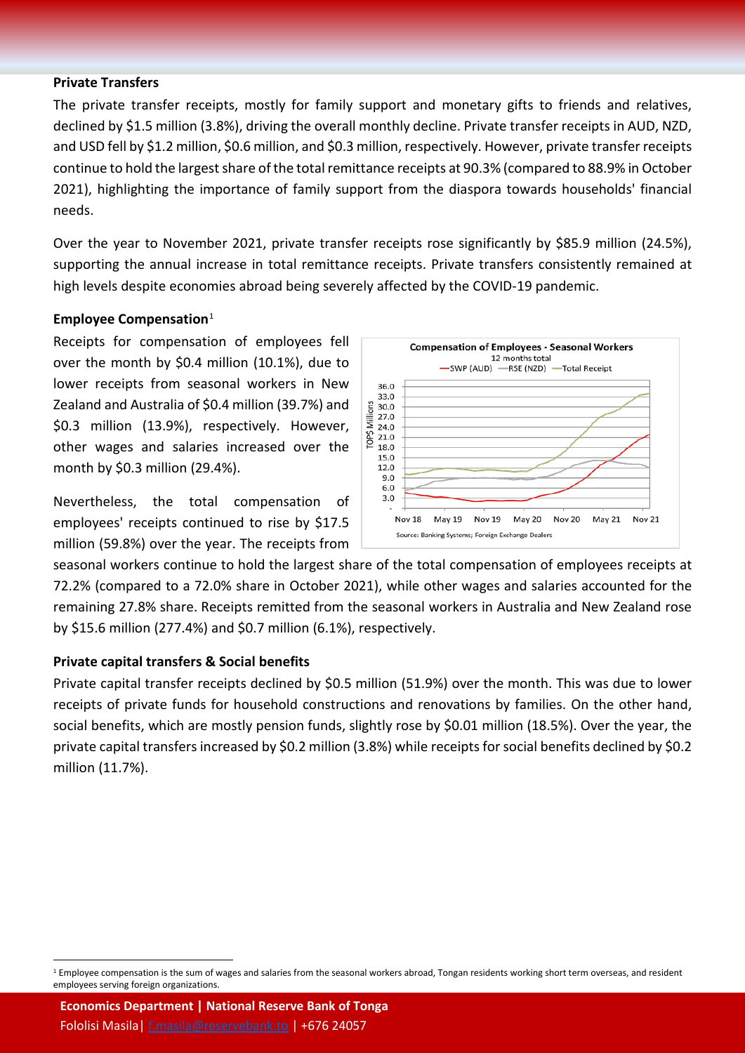#### **Private Transfers**

The private transfer receipts, mostly for family support and monetary gifts to friends and relatives, declined by \$1.5 million (3.8%), driving the overall monthly decline. Private transfer receipts in AUD, NZD, and USD fell by \$1.2 million, \$0.6 million, and \$0.3 million, respectively. However, private transfer receipts continue to hold the largest share of the total remittance receipts at 90.3% (compared to 88.9% in October 2021), highlighting the importance of family support from the diaspora towards households' financial needs.

Over the year to November 2021, private transfer receipts rose significantly by \$85.9 million (24.5%), supporting the annual increase in total remittance receipts. Private transfers consistently remained at high levels despite economies abroad being severely affected by the COVID-19 pandemic.

### **Employee Compensation**[1](#page-1-0)

Receipts for compensation of employees fell over the month by \$0.4 million (10.1%), due to lower receipts from seasonal workers in New Zealand and Australia of \$0.4 million (39.7%) and \$0.3 million (13.9%), respectively. However, other wages and salaries increased over the month by \$0.3 million (29.4%).

Nevertheless, the total compensation of employees' receipts continued to rise by \$17.5 million (59.8%) over the year. The receipts from



seasonal workers continue to hold the largest share of the total compensation of employees receipts at 72.2% (compared to a 72.0% share in October 2021), while other wages and salaries accounted for the remaining 27.8% share. Receipts remitted from the seasonal workers in Australia and New Zealand rose by \$15.6 million (277.4%) and \$0.7 million (6.1%), respectively.

## **Private capital transfers & Social benefits**

Private capital transfer receipts declined by \$0.5 million (51.9%) over the month. This was due to lower receipts of private funds for household constructions and renovations by families. On the other hand, social benefits, which are mostly pension funds, slightly rose by \$0.01 million (18.5%). Over the year, the private capital transfers increased by \$0.2 million (3.8%) while receipts for social benefits declined by \$0.2 million (11.7%).

<span id="page-1-0"></span><sup>&</sup>lt;sup>1</sup> Employee compensation is the sum of wages and salaries from the seasonal workers abroad, Tongan residents working short term overseas, and resident employees serving foreign organizations.